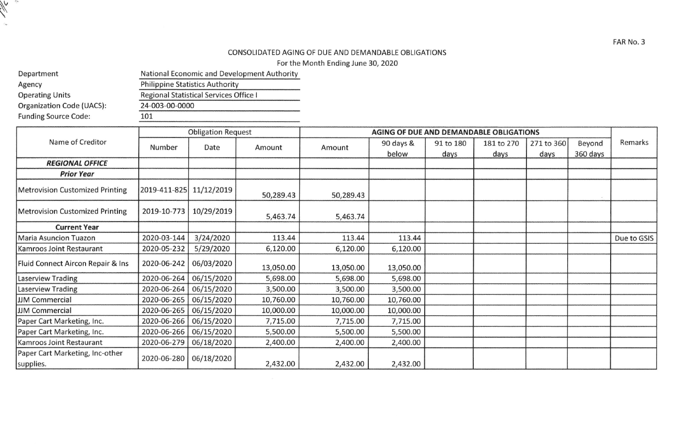## CONSOLIDATED AGING OF DUE AND DEMANDABLE OBLIGATIONS

For the Month Ending June 30, 2020

| Department                  | National Economic and Development Authority |  |  |  |  |
|-----------------------------|---------------------------------------------|--|--|--|--|
| Agency                      | <b>Philippine Statistics Authority</b>      |  |  |  |  |
| <b>Operating Units</b>      | Regional Statistical Services Office I      |  |  |  |  |
| Organization Code (UACS):   | 24-003-00-0000                              |  |  |  |  |
| <b>Funding Source Code:</b> | 101                                         |  |  |  |  |

 $\sum_{i=1}^{n}$ 

|                                              | <b>Obligation Request</b> |            |           | AGING OF DUE AND DEMANDABLE OBLIGATIONS |           |           |            |            |          |             |
|----------------------------------------------|---------------------------|------------|-----------|-----------------------------------------|-----------|-----------|------------|------------|----------|-------------|
| Name of Creditor                             | Number                    | Date       | Amount    | Amount                                  | 90 days & | 91 to 180 | 181 to 270 | 271 to 360 | Beyond   | Remarks     |
|                                              |                           |            |           |                                         | below     | days      | days       | days       | 360 days |             |
| <b>REGIONAL OFFICE</b>                       |                           |            |           |                                         |           |           |            |            |          |             |
| <b>Prior Year</b>                            |                           |            |           |                                         |           |           |            |            |          |             |
| <b>Metrovision Customized Printing</b>       | 2019-411-825 11/12/2019   |            | 50,289.43 | 50,289.43                               |           |           |            |            |          |             |
| <b>Metrovision Customized Printing</b>       | 2019-10-773               | 10/29/2019 | 5,463.74  | 5,463.74                                |           |           |            |            |          |             |
| <b>Current Year</b>                          |                           |            |           |                                         |           |           |            |            |          |             |
| <b>Maria Asuncion Tuazon</b>                 | 2020-03-144               | 3/24/2020  | 113.44    | 113.44                                  | 113.44    |           |            |            |          | Due to GSIS |
| Kamroos Joint Restaurant                     | 2020-05-232               | 5/29/2020  | 6,120.00  | 6,120.00                                | 6,120.00  |           |            |            |          |             |
| Fluid Connect Aircon Repair & Ins            | 2020-06-242               | 06/03/2020 | 13,050.00 | 13,050.00                               | 13,050.00 |           |            |            |          |             |
| <b>Laserview Trading</b>                     | 2020-06-264               | 06/15/2020 | 5,698.00  | 5,698.00                                | 5,698.00  |           |            |            |          |             |
| <b>Laserview Trading</b>                     | 2020-06-264               | 06/15/2020 | 3,500.00  | 3,500.00                                | 3,500.00  |           |            |            |          |             |
| <b>JJM</b> Commercial                        | 2020-06-265               | 06/15/2020 | 10,760.00 | 10,760.00                               | 10,760.00 |           |            |            |          |             |
| JJM Commercial                               | 2020-06-265               | 06/15/2020 | 10,000.00 | 10,000.00                               | 10,000.00 |           |            |            |          |             |
| Paper Cart Marketing, Inc.                   | 2020-06-266               | 06/15/2020 | 7,715.00  | 7,715.00                                | 7,715.00  |           |            |            |          |             |
| Paper Cart Marketing, Inc.                   | 2020-06-266               | 06/15/2020 | 5,500.00  | 5,500.00                                | 5,500.00  |           |            |            |          |             |
| Kamroos Joint Restaurant                     | 2020-06-279               | 06/18/2020 | 2,400.00  | 2,400.00                                | 2,400.00  |           |            |            |          |             |
| Paper Cart Marketing, Inc-other<br>supplies. | 2020-06-280               | 06/18/2020 | 2,432.00  | 2,432.00                                | 2,432.00  |           |            |            |          |             |

FAR No. 3